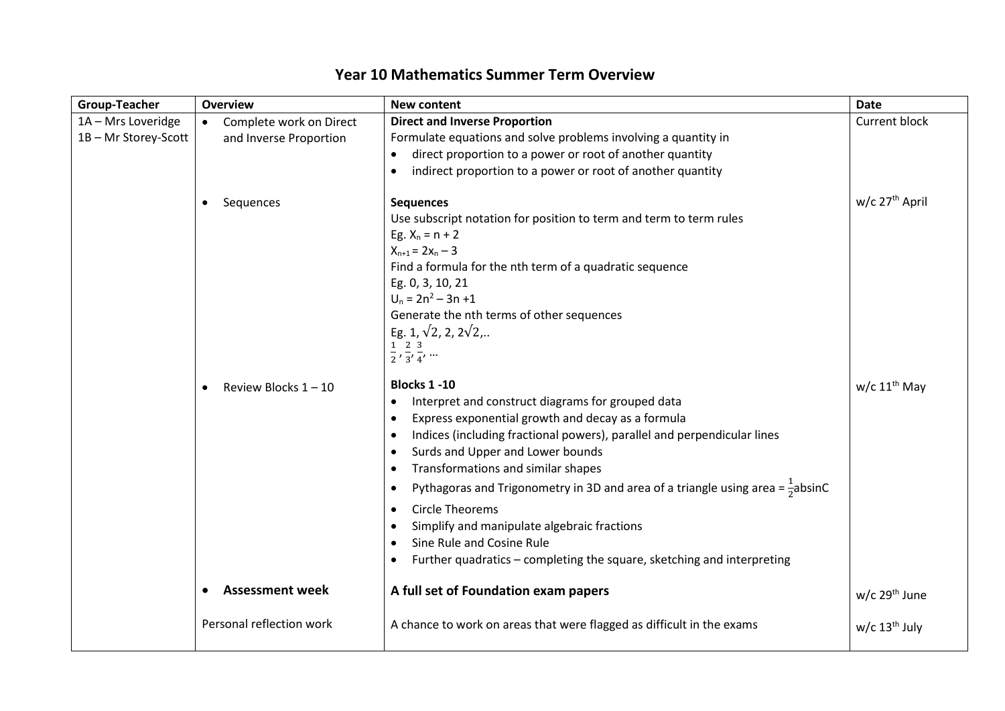| <b>Group-Teacher</b> | <b>Overview</b>                      | <b>New content</b>                                                                                      | <b>Date</b>                 |
|----------------------|--------------------------------------|---------------------------------------------------------------------------------------------------------|-----------------------------|
| 1A - Mrs Loveridge   | Complete work on Direct<br>$\bullet$ | <b>Direct and Inverse Proportion</b>                                                                    | <b>Current block</b>        |
| 1B-Mr Storey-Scott   | and Inverse Proportion               | Formulate equations and solve problems involving a quantity in                                          |                             |
|                      |                                      | direct proportion to a power or root of another quantity                                                |                             |
|                      |                                      | indirect proportion to a power or root of another quantity                                              |                             |
|                      | Sequences<br>$\bullet$               | <b>Sequences</b>                                                                                        | w/c 27 <sup>th</sup> April  |
|                      |                                      | Use subscript notation for position to term and term to term rules                                      |                             |
|                      |                                      | Eg. $X_n = n + 2$                                                                                       |                             |
|                      |                                      | $X_{n+1} = 2X_n - 3$                                                                                    |                             |
|                      |                                      | Find a formula for the nth term of a quadratic sequence                                                 |                             |
|                      |                                      | Eg. 0, 3, 10, 21                                                                                        |                             |
|                      |                                      | $U_n = 2n^2 - 3n + 1$                                                                                   |                             |
|                      |                                      | Generate the nth terms of other sequences                                                               |                             |
|                      |                                      | Eg. 1, $\sqrt{2}$ , 2, $2\sqrt{2}$ ,                                                                    |                             |
|                      |                                      | $\frac{1}{2}$ , $\frac{2}{3}$ , $\frac{3}{4}$ ,                                                         |                             |
|                      |                                      |                                                                                                         |                             |
|                      | Review Blocks 1-10                   | <b>Blocks 1 -10</b>                                                                                     | $w/c$ 11 <sup>th</sup> May  |
|                      |                                      | Interpret and construct diagrams for grouped data<br>$\bullet$                                          |                             |
|                      |                                      | Express exponential growth and decay as a formula<br>$\bullet$                                          |                             |
|                      |                                      | Indices (including fractional powers), parallel and perpendicular lines                                 |                             |
|                      |                                      | Surds and Upper and Lower bounds                                                                        |                             |
|                      |                                      | Transformations and similar shapes                                                                      |                             |
|                      |                                      | Pythagoras and Trigonometry in 3D and area of a triangle using area = $\frac{1}{2}$ absinC<br>$\bullet$ |                             |
|                      |                                      | <b>Circle Theorems</b>                                                                                  |                             |
|                      |                                      | Simplify and manipulate algebraic fractions                                                             |                             |
|                      |                                      | Sine Rule and Cosine Rule                                                                               |                             |
|                      |                                      | Further quadratics - completing the square, sketching and interpreting                                  |                             |
|                      |                                      |                                                                                                         |                             |
|                      | <b>Assessment week</b>               | A full set of Foundation exam papers                                                                    | $w/c$ 29 <sup>th</sup> June |
|                      | Personal reflection work             | A chance to work on areas that were flagged as difficult in the exams                                   | w/c $13th$ July             |
|                      |                                      |                                                                                                         |                             |

## **Year 10 Mathematics Summer Term Overview**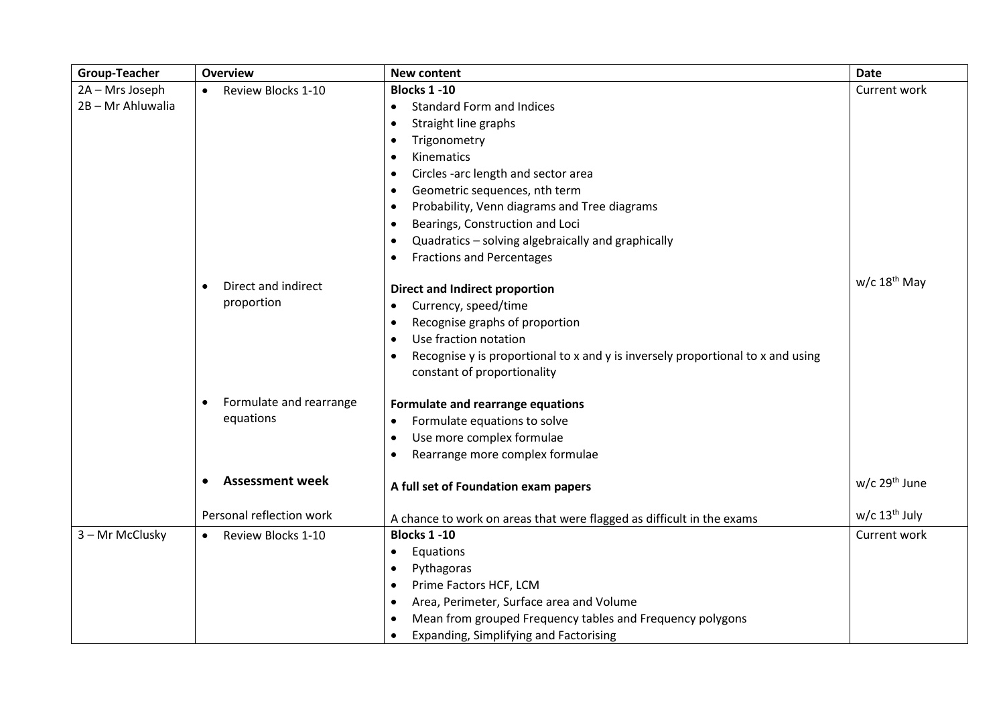| Group-Teacher     | <b>Overview</b>                      | <b>New content</b>                                                              | <b>Date</b>                 |
|-------------------|--------------------------------------|---------------------------------------------------------------------------------|-----------------------------|
| 2A - Mrs Joseph   | Review Blocks 1-10<br>$\bullet$      | <b>Blocks 1 -10</b>                                                             | Current work                |
| 2B - Mr Ahluwalia |                                      | <b>Standard Form and Indices</b><br>$\bullet$                                   |                             |
|                   |                                      | Straight line graphs<br>$\bullet$                                               |                             |
|                   |                                      | Trigonometry<br>$\bullet$                                                       |                             |
|                   |                                      | Kinematics<br>$\bullet$                                                         |                             |
|                   |                                      | Circles -arc length and sector area                                             |                             |
|                   |                                      | Geometric sequences, nth term                                                   |                             |
|                   |                                      | Probability, Venn diagrams and Tree diagrams                                    |                             |
|                   |                                      | Bearings, Construction and Loci                                                 |                             |
|                   |                                      | Quadratics - solving algebraically and graphically                              |                             |
|                   |                                      | <b>Fractions and Percentages</b>                                                |                             |
|                   |                                      |                                                                                 | $w/c$ 18 <sup>th</sup> May  |
|                   | Direct and indirect<br>$\bullet$     | <b>Direct and Indirect proportion</b>                                           |                             |
|                   | proportion                           | Currency, speed/time                                                            |                             |
|                   |                                      | Recognise graphs of proportion                                                  |                             |
|                   |                                      | Use fraction notation<br>$\bullet$                                              |                             |
|                   |                                      | Recognise y is proportional to x and y is inversely proportional to x and using |                             |
|                   |                                      | constant of proportionality                                                     |                             |
|                   | Formulate and rearrange<br>$\bullet$ | Formulate and rearrange equations                                               |                             |
|                   | equations                            | Formulate equations to solve<br>$\bullet$                                       |                             |
|                   |                                      | Use more complex formulae                                                       |                             |
|                   |                                      | Rearrange more complex formulae                                                 |                             |
|                   | <b>Assessment week</b><br>$\bullet$  |                                                                                 | $w/c$ 29 <sup>th</sup> June |
|                   |                                      | A full set of Foundation exam papers                                            |                             |
|                   | Personal reflection work             | A chance to work on areas that were flagged as difficult in the exams           | $w/c$ 13 <sup>th</sup> July |
| 3 - Mr McClusky   | Review Blocks 1-10<br>$\bullet$      | <b>Blocks 1 -10</b>                                                             | Current work                |
|                   |                                      | Equations<br>$\bullet$                                                          |                             |
|                   |                                      | Pythagoras                                                                      |                             |
|                   |                                      | Prime Factors HCF, LCM                                                          |                             |
|                   |                                      | Area, Perimeter, Surface area and Volume                                        |                             |
|                   |                                      | Mean from grouped Frequency tables and Frequency polygons                       |                             |
|                   |                                      | Expanding, Simplifying and Factorising<br>$\bullet$                             |                             |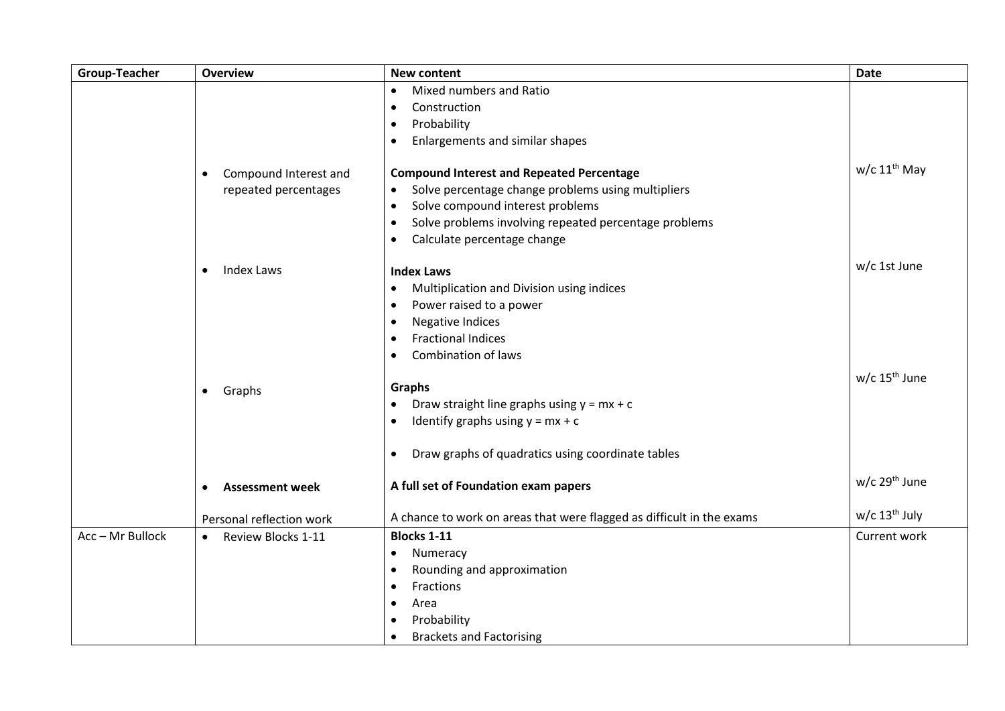| <b>Group-Teacher</b> | <b>Overview</b>                     | <b>New content</b>                                                    | <b>Date</b>                 |
|----------------------|-------------------------------------|-----------------------------------------------------------------------|-----------------------------|
|                      |                                     | Mixed numbers and Ratio<br>$\bullet$                                  |                             |
|                      |                                     | Construction<br>$\bullet$                                             |                             |
|                      |                                     | Probability<br>$\bullet$                                              |                             |
|                      |                                     | Enlargements and similar shapes<br>$\bullet$                          |                             |
|                      |                                     |                                                                       |                             |
|                      | Compound Interest and<br>$\bullet$  | <b>Compound Interest and Repeated Percentage</b>                      | $w/c$ 11 <sup>th</sup> May  |
|                      | repeated percentages                | Solve percentage change problems using multipliers<br>$\bullet$       |                             |
|                      |                                     | Solve compound interest problems<br>$\bullet$                         |                             |
|                      |                                     | Solve problems involving repeated percentage problems<br>$\bullet$    |                             |
|                      |                                     | Calculate percentage change<br>$\bullet$                              |                             |
|                      |                                     |                                                                       | w/c 1st June                |
|                      | <b>Index Laws</b><br>$\bullet$      | <b>Index Laws</b>                                                     |                             |
|                      |                                     | Multiplication and Division using indices<br>$\bullet$                |                             |
|                      |                                     | Power raised to a power<br>$\bullet$                                  |                             |
|                      |                                     | Negative Indices                                                      |                             |
|                      |                                     | <b>Fractional Indices</b>                                             |                             |
|                      |                                     | <b>Combination of laws</b><br>$\bullet$                               |                             |
|                      |                                     | Graphs                                                                | $w/c$ 15 <sup>th</sup> June |
|                      | Graphs<br>$\bullet$                 | Draw straight line graphs using $y = mx + c$<br>$\bullet$             |                             |
|                      |                                     | Identify graphs using $y = mx + c$<br>$\bullet$                       |                             |
|                      |                                     |                                                                       |                             |
|                      |                                     | Draw graphs of quadratics using coordinate tables<br>$\bullet$        |                             |
|                      | <b>Assessment week</b><br>$\bullet$ | A full set of Foundation exam papers                                  | $w/c$ 29 <sup>th</sup> June |
|                      |                                     |                                                                       | $w/c$ 13 <sup>th</sup> July |
|                      | Personal reflection work            | A chance to work on areas that were flagged as difficult in the exams |                             |
| Acc - Mr Bullock     | Review Blocks 1-11<br>$\bullet$     | <b>Blocks 1-11</b>                                                    | Current work                |
|                      |                                     | Numeracy<br>$\bullet$                                                 |                             |
|                      |                                     | Rounding and approximation<br>$\bullet$                               |                             |
|                      |                                     | Fractions<br>$\bullet$                                                |                             |
|                      |                                     | Area<br>$\bullet$                                                     |                             |
|                      |                                     | Probability                                                           |                             |
|                      |                                     | <b>Brackets and Factorising</b>                                       |                             |